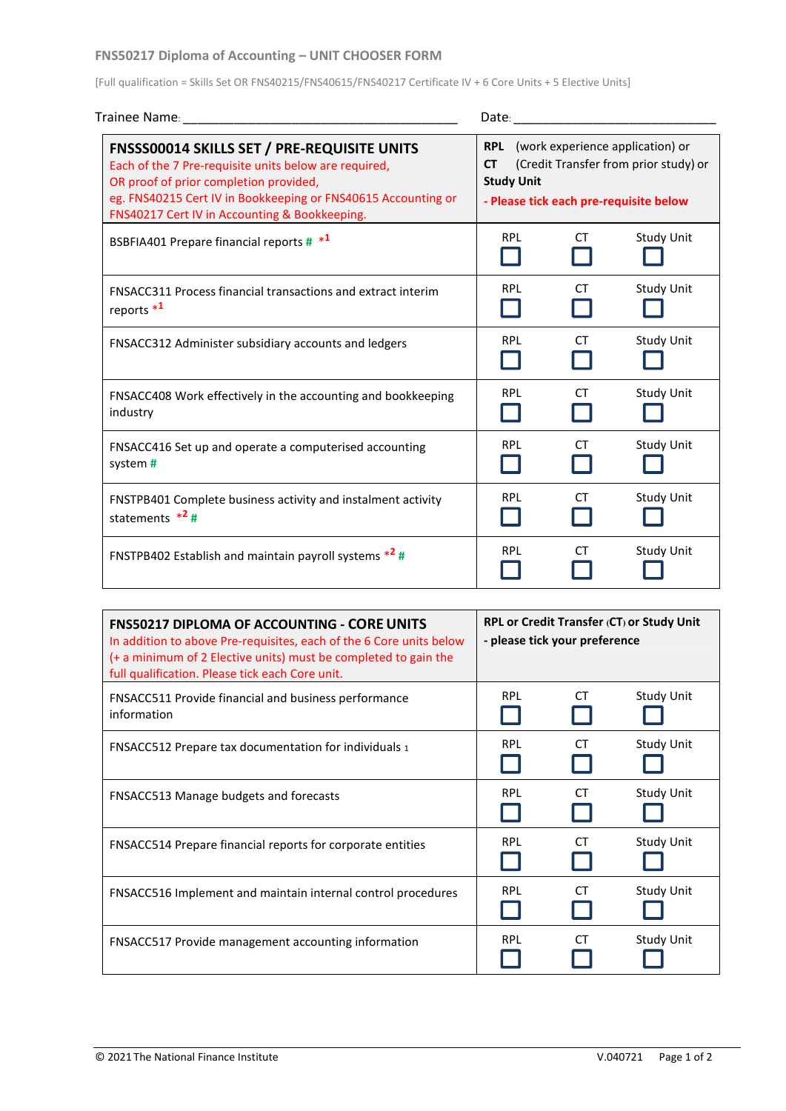## **FNS50217 Diploma of Accounting – UNIT CHOOSER FORM**

[Full qualification = Skills Set OR FNS40215/FNS40615/FNS40217 Certificate IV + 6 Core Units + 5 Elective Units]

| Trainee Name:                                                                                                                                                                                                                                                           | Date:                                                                                                                                                            |           |                   |  |
|-------------------------------------------------------------------------------------------------------------------------------------------------------------------------------------------------------------------------------------------------------------------------|------------------------------------------------------------------------------------------------------------------------------------------------------------------|-----------|-------------------|--|
| <b>FNSSS00014 SKILLS SET / PRE-REQUISITE UNITS</b><br>Each of the 7 Pre-requisite units below are required,<br>OR proof of prior completion provided,<br>eg. FNS40215 Cert IV in Bookkeeping or FNS40615 Accounting or<br>FNS40217 Cert IV in Accounting & Bookkeeping. | <b>RPL</b> (work experience application) or<br>(Credit Transfer from prior study) or<br><b>CT</b><br><b>Study Unit</b><br>- Please tick each pre-requisite below |           |                   |  |
| BSBFIA401 Prepare financial reports # *1                                                                                                                                                                                                                                | <b>RPL</b>                                                                                                                                                       | <b>CT</b> | <b>Study Unit</b> |  |
| <b>FNSACC311 Process financial transactions and extract interim</b><br>reports $*1$                                                                                                                                                                                     | <b>RPL</b>                                                                                                                                                       | СT        | <b>Study Unit</b> |  |
| FNSACC312 Administer subsidiary accounts and ledgers                                                                                                                                                                                                                    | <b>RPL</b>                                                                                                                                                       | <b>CT</b> | <b>Study Unit</b> |  |
| FNSACC408 Work effectively in the accounting and bookkeeping<br>industry                                                                                                                                                                                                | <b>RPL</b>                                                                                                                                                       | <b>CT</b> | <b>Study Unit</b> |  |
| FNSACC416 Set up and operate a computerised accounting<br>system#                                                                                                                                                                                                       | <b>RPL</b>                                                                                                                                                       | <b>CT</b> | <b>Study Unit</b> |  |
| FNSTPB401 Complete business activity and instalment activity<br>statements $*^2#$                                                                                                                                                                                       | <b>RPL</b>                                                                                                                                                       | <b>CT</b> | <b>Study Unit</b> |  |
| FNSTPB402 Establish and maintain payroll systems $*^2$ #                                                                                                                                                                                                                | <b>RPL</b>                                                                                                                                                       | СT        | <b>Study Unit</b> |  |

| <b>FNS50217 DIPLOMA OF ACCOUNTING - CORE UNITS</b><br>In addition to above Pre-requisites, each of the 6 Core units below<br>(+ a minimum of 2 Elective units) must be completed to gain the<br>full qualification. Please tick each Core unit. | <b>RPL or Credit Transfer (CT) or Study Unit</b><br>- please tick your preference |     |                   |
|-------------------------------------------------------------------------------------------------------------------------------------------------------------------------------------------------------------------------------------------------|-----------------------------------------------------------------------------------|-----|-------------------|
| <b>FNSACC511 Provide financial and business performance</b><br>information                                                                                                                                                                      | <b>RPL</b>                                                                        | CT. | <b>Study Unit</b> |
| <b>FNSACC512 Prepare tax documentation for individuals 1</b>                                                                                                                                                                                    | <b>RPL</b>                                                                        | CT  | <b>Study Unit</b> |
| FNSACC513 Manage budgets and forecasts                                                                                                                                                                                                          | <b>RPL</b>                                                                        | CT  | <b>Study Unit</b> |
| FNSACC514 Prepare financial reports for corporate entities                                                                                                                                                                                      | <b>RPL</b>                                                                        | CT. | <b>Study Unit</b> |
| FNSACC516 Implement and maintain internal control procedures                                                                                                                                                                                    | <b>RPL</b>                                                                        | СT  | <b>Study Unit</b> |
| FNSACC517 Provide management accounting information                                                                                                                                                                                             | <b>RPL</b>                                                                        | CT. | Study Unit        |